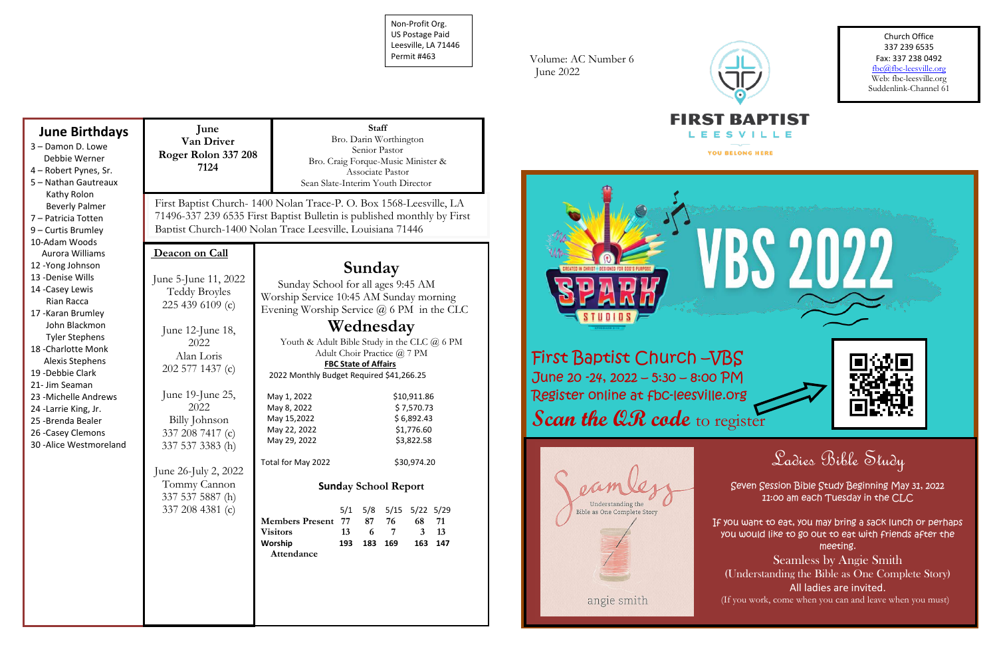Non-Profit Org. US Postage Paid Leesville, LA 71446 Permit #463

| <b>June Birthdays</b><br>3 - Damon D. Lowe<br>Debbie Werner<br>4 - Robert Pynes, Sr.<br>5 - Nathan Gautreaux<br>Kathy Rolon                                                                                                                                                                                                                                                                                                                                         | June<br>Van Driver<br>Roger Rolon 337 208<br>7124                                                                                                                                                                                                                                                   | <b>Staff</b><br>Bro. Darin Worthington<br>Senior Pastor<br>Bro. Craig Forque-Music Minister &<br>Associate Pastor<br>Sean Slate-Interim Youth Director                                                                                                                                                                                                                                                                                                                                                |                                                        |
|---------------------------------------------------------------------------------------------------------------------------------------------------------------------------------------------------------------------------------------------------------------------------------------------------------------------------------------------------------------------------------------------------------------------------------------------------------------------|-----------------------------------------------------------------------------------------------------------------------------------------------------------------------------------------------------------------------------------------------------------------------------------------------------|-------------------------------------------------------------------------------------------------------------------------------------------------------------------------------------------------------------------------------------------------------------------------------------------------------------------------------------------------------------------------------------------------------------------------------------------------------------------------------------------------------|--------------------------------------------------------|
| <b>Beverly Palmer</b><br>7 - Patricia Totten<br>9 - Curtis Brumley<br>10-Adam Woods<br>Aurora Williams<br>12 - Yong Johnson<br>13 - Denise Wills<br>14 - Casey Lewis<br>Rian Racca<br>17 - Karan Brumley<br>John Blackmon<br><b>Tyler Stephens</b><br>18 - Charlotte Monk<br><b>Alexis Stephens</b><br>19 - Debbie Clark<br>21- Jim Seaman<br>23 - Michelle Andrews<br>24 - Larrie King, Jr.<br>25 - Brenda Bealer<br>26 - Casey Clemons<br>30 - Alice Westmoreland | Deacon on Call                                                                                                                                                                                                                                                                                      | First Baptist Church-1400 Nolan Trace-P. O. Box 1568-Leesville, LA<br>71496-337 239 6535 First Baptist Bulletin is published monthly by First<br>Baptist Church-1400 Nolan Trace Leesville, Louisiana 71446                                                                                                                                                                                                                                                                                           |                                                        |
|                                                                                                                                                                                                                                                                                                                                                                                                                                                                     | June 5-June 11, 2022<br><b>Teddy Broyles</b><br>225 439 6109 (c)<br>June 12-June 18,<br>2022<br>Alan Loris<br>202 577 1437 (c)<br>June 19-June 25,<br>2022<br>Billy Johnson<br>337 208 7417 (c)<br>337 537 3383 (h)<br>June 26-July 2, 2022<br>Tommy Cannon<br>337 537 5887 (h)<br>337 208 4381 (c) | Sunday<br>Sunday School for all ages 9:45 AM<br>Worship Service 10:45 AM Sunday morning<br>Evening Worship Service $@$ 6 PM in the CLC<br>Wednesday<br>Youth & Adult Bible Study in the CLC @ 6 PM<br>Adult Choir Practice @ 7 PM<br><b>FBC State of Affairs</b><br>2022 Monthly Budget Required \$41,266.25<br>\$10,911.86<br>May 1, 2022<br>May 8, 2022<br>\$7,570.73<br>\$6,892.43<br>May 15,2022<br>\$1,776.60<br>May 22, 2022<br>May 29, 2022<br>\$3,822.58<br>Total for May 2022<br>\$30,974.20 | <b>First Ba</b><br>June 20 -2<br>Register o<br>Scan th |
|                                                                                                                                                                                                                                                                                                                                                                                                                                                                     |                                                                                                                                                                                                                                                                                                     | <b>Sunday School Report</b><br>5/1 5/8 5/15 5/22 5/29<br><b>Members Present 77</b><br>87 76<br>68 71<br>6 7<br>$3 \quad 13$<br><b>Visitors</b><br>13<br>Worship<br>193 183 169<br>163 147<br>Attendance                                                                                                                                                                                                                                                                                               |                                                        |

Volume: AC Number 6 June 2022





Church Office 337 239 6535 Fax: 337 238 0492 fbc@fbc-leesville.org Web: fbc-leesville.org Suddenlink-Channel 61





# Ladies Bible Study

Seven Session Bible Study Beginning May 31, 2022 11:00 am each Tuesday in the CLC

If you want to eat, you may bring a sack lunch or perhaps you would like to go out to eat with friends after the meeting.

Seamless by Angie Smith (Understanding the Bible as One Complete Story) All ladies are invited. (If you work, come when you can and leave when you must)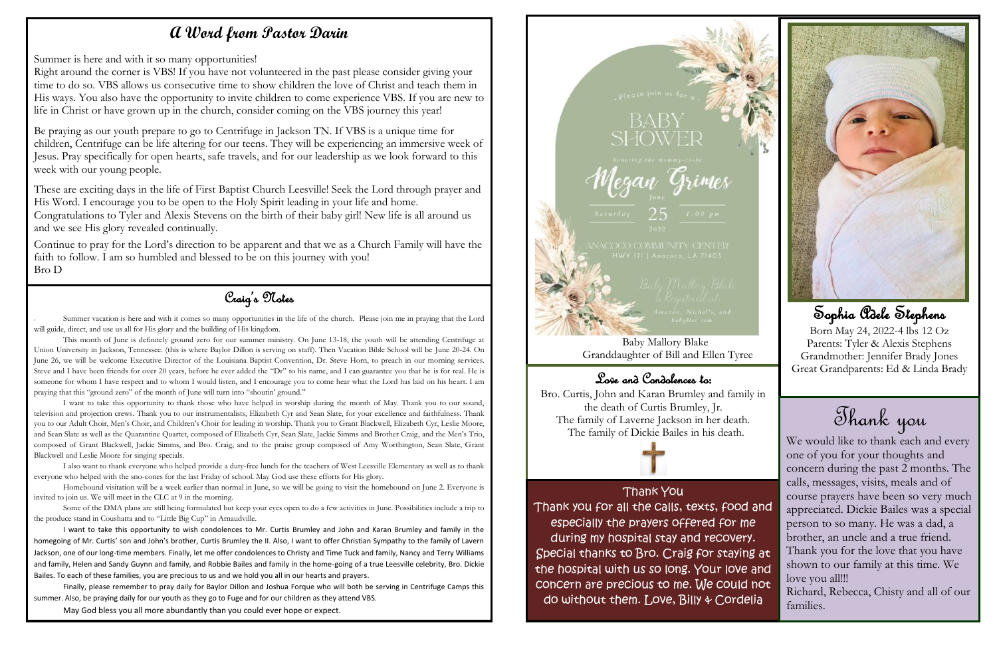Craig's Notes

Summer vacation is here and with it comes so many opportunities in the life of the church. Please join me in praying that the Lord will guide, direct, and use us all for His glory and the building of His kingdom.

This month of June is definitely ground zero for our summer ministry. On June 13-18, the youth will be attending Centrifuge at Union University in Jackson, Tennessee. (this is where Baylor Dillon is serving on staff). Then Vacation Bible School will be June 20-24. On June 26, we will be welcome Executive Director of the Louisiana Baptist Convention, Dr. Steve Horn, to preach in our morning services. Steve and I have been friends for over 20 years, before he ever added the "Dr" to his name, and I can guarantee you that he is for real. He is someone for whom I have respect and to whom I would listen, and I encourage you to come hear what the Lord has laid on his heart. I am praying that this "ground zero" of the month of June will turn into "shoutin' ground."

Homebound visitation will be a week earlier than normal in June, so we will be going to visit the homebound on June 2. Everyone is join us. We will meet in the CLC at 9 in the morning. invited to join us. We will meet in the CLC at 9 in the morning.

I want to take this opportunity to thank those who have helped in worship during the month of May. Thank you to our sound, television and projection crews. Thank you to our instrumentalists, Elizabeth Cyr and Sean Slate, for your excellence and faithfulness. Thank you to our Adult Choir, Men's Choir, and Children's Choir for leading in worship. Thank you to Grant Blackwell, Elizabeth Cyr, Leslie Moore, and Sean Slate as well as the Quarantine Quartet, composed of Elizabeth Cyr, Sean Slate, Jackie Simms and Brother Craig, and the Men's Trio, composed of Grant Blackwell, Jackie Simms, and Bro. Craig, and to the praise group composed of Amy Worthington, Sean Slate, Grant Blackwell and Leslie Moore for singing specials.

I also want to thank everyone who helped provide a duty-free lunch for the teachers of West Leesville Elementary as well as to thank everyone who helped with the sno-cones for the last Friday of school. May God use these efforts for His glory.

Some of the DMA plans are still being formulated but keep your eyes open to do a few activities in June. Possibilities include a trip to the produce stand in Coushatta and to "Little Big Cup" in Arnaudville.

I want to take this opportunity to wish condolences to Mr. Curtis Brumley and John and Karan Brumley and family in the homegoing of Mr. Curtis' son and John's brother, Curtis Brumley the II. Also, I want to offer Christian Sympathy to the family of Lavern Jackson, one of our long-time members. Finally, let me offer condolences to Christy and Time Tuck and family, Nancy and Terry Williams and family, Helen and Sandy Guynn and family, and Robbie Bailes and family in the home-going of a true Leesville celebrity, Bro. Dickie Bailes. To each of these families, you are precious to us and we hold you all in our hearts and prayers.

We would like to thank each and every one of you for your thoughts and concern during the past 2 months. The calls, messages, visits, meals and of course prayers have been so very much appreciated. Dickie Bailes was a special person to so many. He was a dad, a brother, an uncle and a true friend. Thank you for the love that you have shown to our family at this time. We love you all!!! Richard, Rebecca, Chisty and all of our families.

Finally, please remember to pray daily for Baylor Dillon and Joshua Forque who will both be serving in Centrifuge Camps this summer. Also, be praying daily for our youth as they go to Fuge and for our children as they attend VBS.

May God bless you all more abundantly than you could ever hope or expect.





### **A Word from Pastor Darin**

Summer is here and with it so many opportunities!

Right around the corner is VBS! If you have not volunteered in the past please consider giving your time to do so. VBS allows us consecutive time to show children the love of Christ and teach them in His ways. You also have the opportunity to invite children to come experience VBS. If you are new to life in Christ or have grown up in the church, consider coming on the VBS journey this year!

Be praying as our youth prepare to go to Centrifuge in Jackson TN. If VBS is a unique time for children, Centrifuge can be life altering for our teens. They will be experiencing an immersive week of Jesus. Pray specifically for open hearts, safe travels, and for our leadership as we look forward to this week with our young people.

These are exciting days in the life of First Baptist Church Leesville! Seek the Lord through prayer and His Word. I encourage you to be open to the Holy Spirit leading in your life and home. Congratulations to Tyler and Alexis Stevens on the birth of their baby girl! New life is all around us and we see His glory revealed continually.

Continue to pray for the Lord's direction to be apparent and that we as a Church Family will have the faith to follow. I am so humbled and blessed to be on this journey with you! Bro D

> Baby Mallory Blake Granddaughter of Bill and Ellen Tyree

## Love and Condolences to:

Bro. Curtis, John and Karan Brumley and family in the death of Curtis Brumley, Jr. The family of Laverne Jackson in her death. The family of Dickie Bailes in his death.

Thank You

Thank you for all the calls, texts, food and especially the prayers offered for me during my hospital stay and recovery. Special thanks to Bro. Craig for staying at the hospital with us so long. Your love and concern are precious to me. We could not do without them. Love, Billy & Cordelia





## Sophia Adele Stephens

Born May 24, 2022-4 lbs 12 Oz Parents: Tyler & Alexis Stephens Grandmother: Jennifer Brady Jones Great Grandparents: Ed & Linda Brady

Thank you